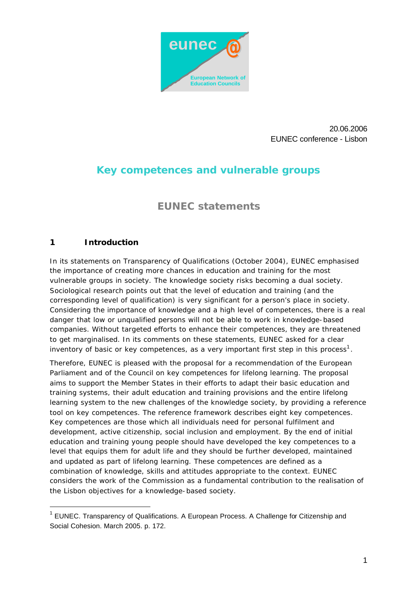

20.06.2006 EUNEC conference - Lisbon

# **Key competences and vulnerable groups**

# **EUNEC statements**

# **1 Introduction**

l

In its statements on Transparency of Qualifications (October 2004), EUNEC emphasised the importance of creating more chances in education and training for the most vulnerable groups in society. The knowledge society risks becoming a dual society. Sociological research points out that the level of education and training (and the corresponding level of qualification) is very significant for a person's place in society. Considering the importance of knowledge and a high level of competences, there is a real danger that low or unqualified persons will not be able to work in knowledge-based companies. Without targeted efforts to enhance their competences, they are threatened to get marginalised. In its comments on these statements, EUNEC asked for a clear inventory of basic or key competences, as a very important first step in this process<sup>1</sup>.

Therefore, EUNEC is pleased with the proposal for a recommendation of the European Parliament and of the Council on key competences for lifelong learning. The proposal aims to support the Member States in their efforts to adapt their basic education and training systems, their adult education and training provisions and the entire lifelong learning system to the new challenges of the knowledge society, by providing a reference tool on key competences. The reference framework describes eight key competences. Key competences are those which all individuals need for personal fulfilment and development, active citizenship, social inclusion and employment. By the end of initial education and training young people should have developed the key competences to a level that equips them for adult life and they should be further developed, maintained and updated as part of lifelong learning. These competences are defined as a combination of knowledge, skills and attitudes appropriate to the context. EUNEC considers the work of the Commission as a fundamental contribution to the realisation of the Lisbon objectives for a knowledge-based society.

<sup>&</sup>lt;sup>1</sup> EUNEC. Transparency of Qualifications. A European Process. A Challenge for Citizenship and Social Cohesion. March 2005. p. 172.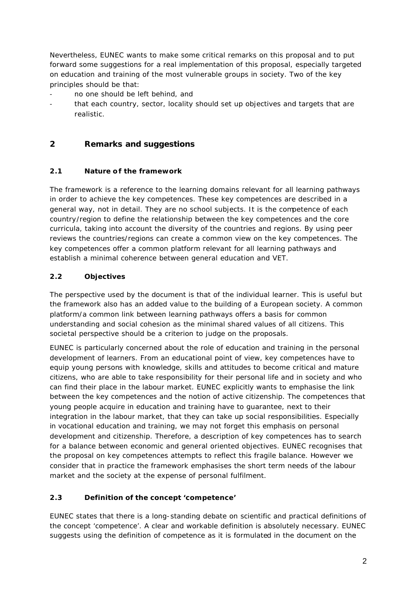Nevertheless, EUNEC wants to make some critical remarks on this proposal and to put forward some suggestions for a real implementation of this proposal, especially targeted on education and training of the most vulnerable groups in society. Two of the key principles should be that:

- no one should be left behind, and
- that each country, sector, locality should set up objectives and targets that are realistic.

# **2 Remarks and suggestions**

### **2.1 Nature of the framework**

The framework is a reference to the learning domains relevant for all learning pathways in order to achieve the key competences. These key competences are described in a general way, not in detail. They are no school subjects. It is the competence of each country/region to define the relationship between the key competences and the core curricula, taking into account the diversity of the countries and regions. By using peer reviews the countries/regions can create a common view on the key competences. The key competences offer a common platform relevant for all learning pathways and establish a minimal coherence between general education and VET.

### **2.2 Objectives**

The perspective used by the document is that of the individual learner. This is useful but the framework also has an added value to the building of a European society. A common platform/a common link between learning pathways offers a basis for common understanding and social cohesion as the minimal shared values of all citizens. This societal perspective should be a criterion to judge on the proposals.

EUNEC is particularly concerned about the role of education and training in the personal development of learners. From an educational point of view, key competences have to equip young persons with knowledge, skills and attitudes to become critical and mature citizens, who are able to take responsibility for their personal life and in society and who can find their place in the labour market. EUNEC explicitly wants to emphasise the link between the key competences and the notion of active citizenship. The competences that young people acquire in education and training have to guarantee, next to their integration in the labour market, that they can take up social responsibilities. Especially in vocational education and training, we may not forget this emphasis on personal development and citizenship. Therefore, a description of key competences has to search for a balance between economic and general oriented objectives. EUNEC recognises that the proposal on key competences attempts to reflect this fragile balance. However we consider that in practice the framework emphasises the short term needs of the labour market and the society at the expense of personal fulfilment.

# **2.3 Definition of the concept 'competence'**

EUNEC states that there is a long-standing debate on scientific and practical definitions of the concept 'competence'. A clear and workable definition is absolutely necessary. EUNEC suggests using the definition of competence as it is formulated in the document on the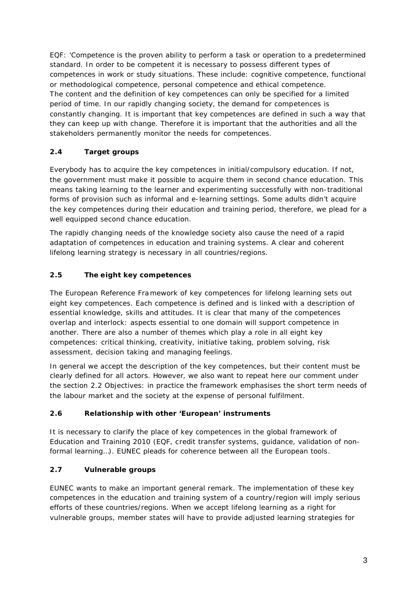EQF: 'Competence is the proven ability to perform a task or operation to a predetermined standard. In order to be competent it is necessary to possess different types of competences in work or study situations. These include: cognitive competence, functional or methodological competence, personal competence and ethical competence. The content and the definition of key competences can only be specified for a limited period of time. In our rapidly changing society, the demand for competences is constantly changing. It is important that key competences are defined in such a way that they can keep up with change. Therefore it is important that the authorities and all the stakeholders permanently monitor the needs for competences.

# **2.4 Target groups**

Everybody has to acquire the key competences in initial/compulsory education. If not, the government must make it possible to acquire them in second chance education. This means taking learning to the learner and experimenting successfully with non-traditional forms of provision such as informal and e-learning settings. Some adults didn't acquire the key competences during their education and training period, therefore, we plead for a well equipped second chance education.

The rapidly changing needs of the knowledge society also cause the need of a rapid adaptation of competences in education and training systems. A clear and coherent lifelong learning strategy is necessary in all countries/regions.

# **2.5 The eight key competences**

The European Reference Framework of key competences for lifelong learning sets out eight key competences. Each competence is defined and is linked with a description of essential knowledge, skills and attitudes. It is clear that many of the competences overlap and interlock: aspects essential to one domain will support competence in another. There are also a number of themes which play a role in all eight key competences: critical thinking, creativity, initiative taking, problem solving, risk assessment, decision taking and managing feelings.

In general we accept the description of the key competences, but their content must be clearly defined for all actors. However, we also want to repeat here our comment under the section 2.2 Objectives: in practice the framework emphasises the short term needs of the labour market and the society at the expense of personal fulfilment.

# **2.6 Relationship with other 'European' instruments**

It is necessary to clarify the place of key competences in the global framework of Education and Training 2010 (EQF, credit transfer systems, guidance, validation of nonformal learning…). EUNEC pleads for coherence between all the European tools.

# **2.7 Vulnerable groups**

EUNEC wants to make an important general remark. The implementation of these key competences in the education and training system of a country/region will imply serious efforts of these countries/regions. When we accept lifelong learning as a right for vulnerable groups, member states will have to provide adjusted learning strategies for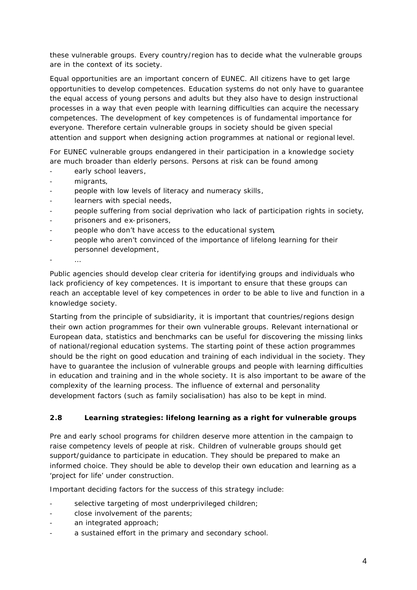these vulnerable groups. Every country/region has to decide what the vulnerable groups are in the context of its society.

Equal opportunities are an important concern of EUNEC. All citizens have to get large opportunities to develop competences. Education systems do not only have to guarantee the equal access of young persons and adults but they also have to design instructional processes in a way that even people with learning difficulties can acquire the necessary competences. The development of key competences is of fundamental importance for everyone. Therefore certain vulnerable groups in society should be given special attention and support when designing action programmes at national or regional level.

For EUNEC vulnerable groups endangered in their participation in a knowledge society are much broader than elderly persons. Persons at risk can be found among

- early school leavers,
- migrants.
- people with low levels of literacy and numeracy skills,
- learners with special needs,
- people suffering from social deprivation who lack of participation rights in society,
- prisoners and ex-prisoners,
- people who don't have access to the educational system,
- people who aren't convinced of the importance of lifelong learning for their personnel development,
- 

Public agencies should develop clear criteria for identifying groups and individuals who lack proficiency of key competences. It is important to ensure that these groups can reach an acceptable level of key competences in order to be able to live and function in a knowledge society.

Starting from the principle of subsidiarity, it is important that countries/regions design their own action programmes for their own vulnerable groups. Relevant international or European data, statistics and benchmarks can be useful for discovering the missing links of national/regional education systems. The starting point of these action programmes should be the right on good education and training of each individual in the society. They have to guarantee the inclusion of vulnerable groups and people with learning difficulties in education and training and in the whole society. It is also important to be aware of the complexity of the learning process. The influence of external and personality development factors (such as family socialisation) has also to be kept in mind.

#### **2.8 Learning strategies: lifelong learning as a right for vulnerable groups**

Pre and early school programs for children deserve more attention in the campaign to raise competency levels of people at risk. Children of vulnerable groups should get support/guidance to participate in education. They should be prepared to make an informed choice. They should be able to develop their own education and learning as a 'project for life' under construction.

Important deciding factors for the success of this strategy include:

- selective targeting of most underprivileged children;
- close involvement of the parents;
- an integrated approach;
- a sustained effort in the primary and secondary school.